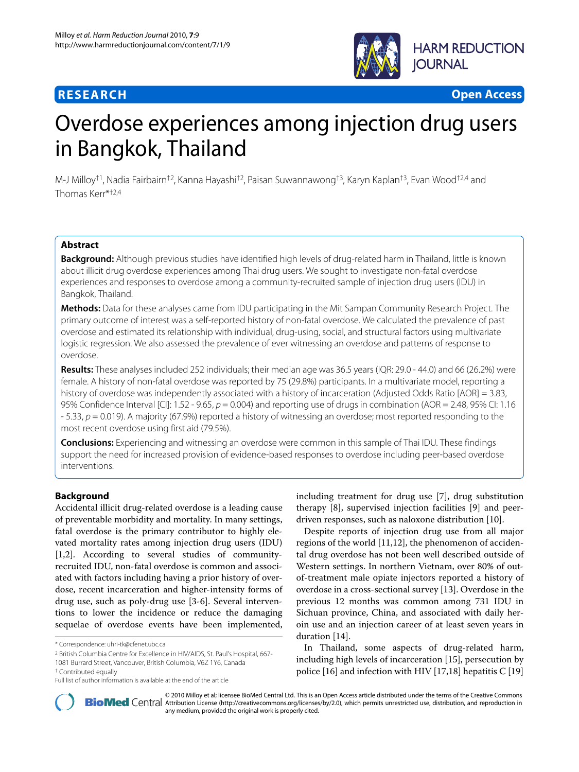# **RESEARCH Open Access**



# Overdose experiences among injection drug users in Bangkok, Thailand

M-J Milloy†1, Nadia Fairbairn†2, Kanna Hayashi†2, Paisan Suwannawong†3, Karyn Kaplan†3, Evan Wood†2,4 and Thomas Kerr\*†2,4

# **Abstract**

**Background:** Although previous studies have identified high levels of drug-related harm in Thailand, little is known about illicit drug overdose experiences among Thai drug users. We sought to investigate non-fatal overdose experiences and responses to overdose among a community-recruited sample of injection drug users (IDU) in Bangkok, Thailand.

**Methods:** Data for these analyses came from IDU participating in the Mit Sampan Community Research Project. The primary outcome of interest was a self-reported history of non-fatal overdose. We calculated the prevalence of past overdose and estimated its relationship with individual, drug-using, social, and structural factors using multivariate logistic regression. We also assessed the prevalence of ever witnessing an overdose and patterns of response to overdose.

**Results:** These analyses included 252 individuals; their median age was 36.5 years (IQR: 29.0 - 44.0) and 66 (26.2%) were female. A history of non-fatal overdose was reported by 75 (29.8%) participants. In a multivariate model, reporting a history of overdose was independently associated with a history of incarceration (Adjusted Odds Ratio [AOR] = 3.83, 95% Confidence Interval [CI]: 1.52 - 9.65,  $p = 0.004$ ) and reporting use of drugs in combination (AOR = 2.48, 95% CI: 1.16 - 5.33, p = 0.019). A majority (67.9%) reported a history of witnessing an overdose; most reported responding to the most recent overdose using first aid (79.5%).

**Conclusions:** Experiencing and witnessing an overdose were common in this sample of Thai IDU. These findings support the need for increased provision of evidence-based responses to overdose including peer-based overdose interventions.

# **Background**

Accidental illicit drug-related overdose is a leading cause of preventable morbidity and mortality. In many settings, fatal overdose is the primary contributor to highly elevated mortality rates among injection drug users (IDU) [[1,](#page-5-0)[2\]](#page-5-1). According to several studies of communityrecruited IDU, non-fatal overdose is common and associated with factors including having a prior history of overdose, recent incarceration and higher-intensity forms of drug use, such as poly-drug use [\[3](#page-5-2)-[6\]](#page-5-3). Several interventions to lower the incidence or reduce the damaging sequelae of overdose events have been implemented,

including treatment for drug use [[7\]](#page-5-4), drug substitution therapy [[8\]](#page-5-5), supervised injection facilities [\[9\]](#page-5-6) and peerdriven responses, such as naloxone distribution [\[10](#page-5-7)].

Despite reports of injection drug use from all major regions of the world [[11,](#page-5-8)[12\]](#page-5-9), the phenomenon of accidental drug overdose has not been well described outside of Western settings. In northern Vietnam, over 80% of outof-treatment male opiate injectors reported a history of overdose in a cross-sectional survey [\[13](#page-5-10)]. Overdose in the previous 12 months was common among 731 IDU in Sichuan province, China, and associated with daily heroin use and an injection career of at least seven years in duration [\[14](#page-5-11)].

In Thailand, some aspects of drug-related harm, including high levels of incarceration [[15\]](#page-5-12), persecution by police [[16](#page-6-0)] and infection with HIV [\[17](#page-6-1)[,18](#page-6-2)] hepatitis  $C$  [[19](#page-6-3)]



2010 Milloy et al; licensee [BioMed](http://www.biomedcentral.com/) Central Ltd. This is an Open Access article distributed under the terms of the Creative Commons (http://creativecommons.org/licenses/by/2.0), which permits unrestricted use, distribution, any medium, provided the original work is properly cited.

<sup>\*</sup> Correspondence: uhri-tk@cfenet.ubc.ca

<sup>2</sup> British Columbia Centre for Excellence in HIV/AIDS, St. Paul's Hospital, 667-

<sup>1081</sup> Burrard Street, Vancouver, British Columbia, V6Z 1Y6, Canada

<sup>†</sup> Contributed equally

Full list of author information is available at the end of the article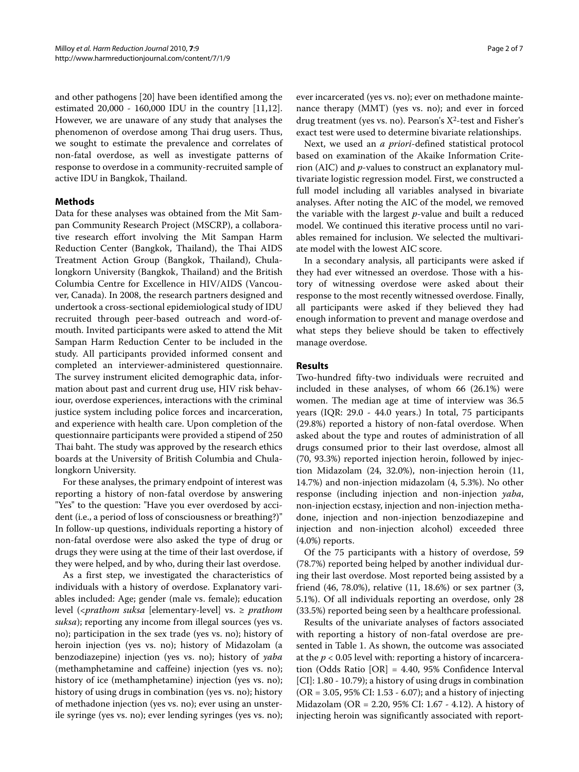and other pathogens [\[20](#page-6-4)] have been identified among the estimated 20,000 - 160,000 IDU in the country [\[11](#page-5-8)[,12](#page-5-9)]. However, we are unaware of any study that analyses the phenomenon of overdose among Thai drug users. Thus, we sought to estimate the prevalence and correlates of non-fatal overdose, as well as investigate patterns of response to overdose in a community-recruited sample of active IDU in Bangkok, Thailand.

# **Methods**

Data for these analyses was obtained from the Mit Sampan Community Research Project (MSCRP), a collaborative research effort involving the Mit Sampan Harm Reduction Center (Bangkok, Thailand), the Thai AIDS Treatment Action Group (Bangkok, Thailand), Chulalongkorn University (Bangkok, Thailand) and the British Columbia Centre for Excellence in HIV/AIDS (Vancouver, Canada). In 2008, the research partners designed and undertook a cross-sectional epidemiological study of IDU recruited through peer-based outreach and word-ofmouth. Invited participants were asked to attend the Mit Sampan Harm Reduction Center to be included in the study. All participants provided informed consent and completed an interviewer-administered questionnaire. The survey instrument elicited demographic data, information about past and current drug use, HIV risk behaviour, overdose experiences, interactions with the criminal justice system including police forces and incarceration, and experience with health care. Upon completion of the questionnaire participants were provided a stipend of 250 Thai baht. The study was approved by the research ethics boards at the University of British Columbia and Chulalongkorn University.

For these analyses, the primary endpoint of interest was reporting a history of non-fatal overdose by answering "Yes" to the question: "Have you ever overdosed by accident (i.e., a period of loss of consciousness or breathing?)" In follow-up questions, individuals reporting a history of non-fatal overdose were also asked the type of drug or drugs they were using at the time of their last overdose, if they were helped, and by who, during their last overdose.

As a first step, we investigated the characteristics of individuals with a history of overdose. Explanatory variables included: Age; gender (male vs. female); education level (<*prathom suksa* [elementary-level] vs. ≥ *prathom suksa*); reporting any income from illegal sources (yes vs. no); participation in the sex trade (yes vs. no); history of heroin injection (yes vs. no); history of Midazolam (a benzodiazepine) injection (yes vs. no); history of *yaba* (methamphetamine and caffeine) injection (yes vs. no); history of ice (methamphetamine) injection (yes vs. no); history of using drugs in combination (yes ys. no); history of methadone injection (yes vs. no); ever using an unsterile syringe (yes vs. no); ever lending syringes (yes vs. no);

ever incarcerated (yes vs. no); ever on methadone maintenance therapy (MMT) (yes vs. no); and ever in forced drug treatment (yes vs. no). Pearson's  $X^2$ -test and Fisher's

exact test were used to determine bivariate relationships. Next, we used an *a priori*-defined statistical protocol based on examination of the Akaike Information Criterion (AIC) and *p*-values to construct an explanatory multivariate logistic regression model. First, we constructed a full model including all variables analysed in bivariate analyses. After noting the AIC of the model, we removed the variable with the largest *p*-value and built a reduced model. We continued this iterative process until no variables remained for inclusion. We selected the multivariate model with the lowest AIC score.

In a secondary analysis, all participants were asked if they had ever witnessed an overdose. Those with a history of witnessing overdose were asked about their response to the most recently witnessed overdose. Finally, all participants were asked if they believed they had enough information to prevent and manage overdose and what steps they believe should be taken to effectively manage overdose.

## **Results**

Two-hundred fifty-two individuals were recruited and included in these analyses, of whom 66 (26.1%) were women. The median age at time of interview was 36.5 years (IQR: 29.0 - 44.0 years.) In total, 75 participants (29.8%) reported a history of non-fatal overdose. When asked about the type and routes of administration of all drugs consumed prior to their last overdose, almost all (70, 93.3%) reported injection heroin, followed by injection Midazolam (24, 32.0%), non-injection heroin (11, 14.7%) and non-injection midazolam (4, 5.3%). No other response (including injection and non-injection *yaba*, non-injection ecstasy, injection and non-injection methadone, injection and non-injection benzodiazepine and injection and non-injection alcohol) exceeded three (4.0%) reports.

Of the 75 participants with a history of overdose, 59 (78.7%) reported being helped by another individual during their last overdose. Most reported being assisted by a friend (46, 78.0%), relative (11, 18.6%) or sex partner (3, 5.1%). Of all individuals reporting an overdose, only 28 (33.5%) reported being seen by a healthcare professional.

Results of the univariate analyses of factors associated with reporting a history of non-fatal overdose are presented in Table 1. As shown, the outcome was associated at the *p* < 0.05 level with: reporting a history of incarceration (Odds Ratio [OR] = 4.40, 95% Confidence Interval [CI]: 1.80 - 10.79); a history of using drugs in combination (OR = 3.05, 95% CI: 1.53 - 6.07); and a history of injecting Midazolam (OR = 2.20, 95% CI: 1.67 - 4.12). A history of injecting heroin was significantly associated with report-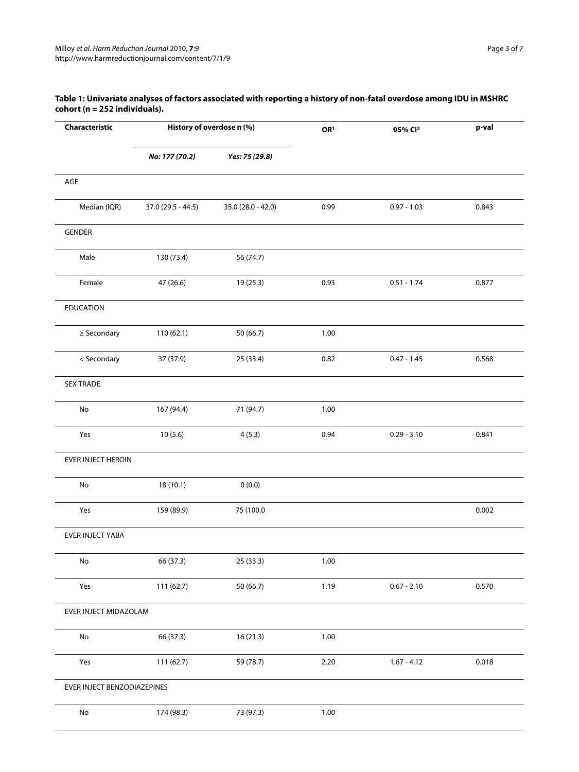| Characteristic               | History of overdose n (%) |                    | OR <sup>1</sup> | 95% Cl <sup>2</sup> | p-val |
|------------------------------|---------------------------|--------------------|-----------------|---------------------|-------|
|                              | No: 177 (70.2)            | Yes: 75 (29.8)     |                 |                     |       |
| AGE                          |                           |                    |                 |                     |       |
| Median (IQR)                 | 37.0 (29.5 - 44.5)        | 35.0 (28.0 - 42.0) | 0.99            | $0.97 - 1.03$       | 0.843 |
| <b>GENDER</b>                |                           |                    |                 |                     |       |
| Male                         | 130 (73.4)                | 56 (74.7)          |                 |                     |       |
| Female                       | 47 (26.6)                 | 19 (25.3)          | 0.93            | $0.51 - 1.74$       | 0.877 |
| <b>EDUCATION</b>             |                           |                    |                 |                     |       |
| $\geq$ Secondary             | 110 (62.1)                | 50 (66.7)          | 1.00            |                     |       |
| < Secondary                  | 37 (37.9)                 | 25 (33.4)          | 0.82            | $0.47 - 1.45$       | 0.568 |
| <b>SEX TRADE</b>             |                           |                    |                 |                     |       |
| No                           | 167 (94.4)                | 71 (94.7)          | 1.00            |                     |       |
| Yes                          | 10(5.6)                   | 4(5.3)             | 0.94            | $0.29 - 3.10$       | 0.841 |
| EVER INJECT HEROIN           |                           |                    |                 |                     |       |
| No                           | 18 (10.1)                 | 0(0.0)             |                 |                     |       |
| Yes                          | 159 (89.9)                | 75 (100.0          |                 |                     | 0.002 |
| EVER INJECT YABA             |                           |                    |                 |                     |       |
| $\operatorname{\mathsf{No}}$ | 66 (37.3)                 | 25 (33.3)          | $1.00\,$        |                     |       |
| Yes                          | 111 (62.7)                | 50 (66.7)          | 1.19            | $0.67 - 2.10$       | 0.570 |
| EVER INJECT MIDAZOLAM        |                           |                    |                 |                     |       |
| No                           | 66 (37.3)                 | 16 (21.3)          | 1.00            |                     |       |
| Yes                          | 111 (62.7)                | 59 (78.7)          | 2.20            | $1.67 - 4.12$       | 0.018 |
| EVER INJECT BENZODIAZEPINES  |                           |                    |                 |                     |       |
| $\operatorname{\mathsf{No}}$ | 174 (98.3)                | 73 (97.3)          | 1.00            |                     |       |

# **Table 1: Univariate analyses of factors associated with reporting a history of non-fatal overdose among IDU in MSHRC cohort (n = 252 individuals).**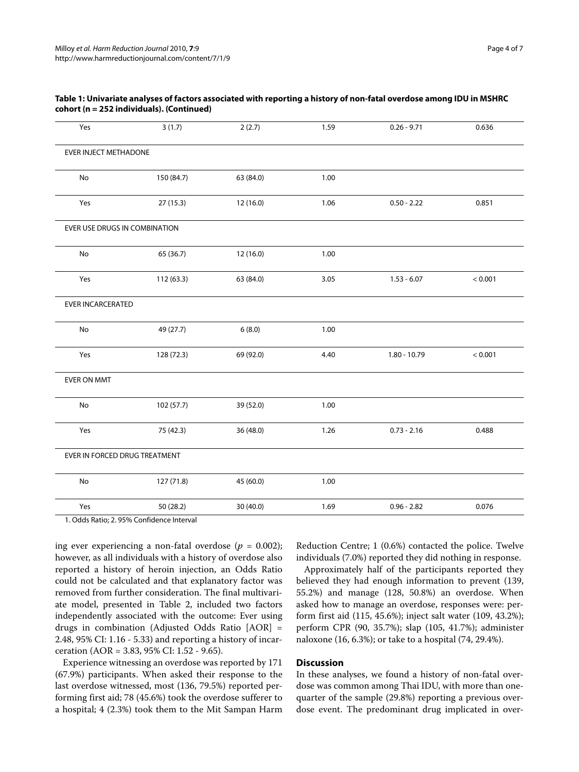| Yes                           | 3(1.7)     | 2(2.7)    | 1.59 | $0.26 - 9.71$ | 0.636   |
|-------------------------------|------------|-----------|------|---------------|---------|
| <b>EVER INJECT METHADONE</b>  |            |           |      |               |         |
| No                            | 150 (84.7) | 63 (84.0) | 1.00 |               |         |
| Yes                           | 27(15.3)   | 12 (16.0) | 1.06 | $0.50 - 2.22$ | 0.851   |
| EVER USE DRUGS IN COMBINATION |            |           |      |               |         |
| No                            | 65 (36.7)  | 12 (16.0) | 1.00 |               |         |
| Yes                           | 112(63.3)  | 63 (84.0) | 3.05 | $1.53 - 6.07$ | < 0.001 |
| <b>EVER INCARCERATED</b>      |            |           |      |               |         |
| $\mathsf{No}$                 | 49 (27.7)  | 6(8.0)    | 1.00 |               |         |
| Yes                           | 128 (72.3) | 69 (92.0) | 4.40 | 1.80 - 10.79  | < 0.001 |
| EVER ON MMT                   |            |           |      |               |         |
| $\operatorname{\mathsf{No}}$  | 102 (57.7) | 39 (52.0) | 1.00 |               |         |
| Yes                           | 75 (42.3)  | 36 (48.0) | 1.26 | $0.73 - 2.16$ | 0.488   |
| EVER IN FORCED DRUG TREATMENT |            |           |      |               |         |
| No                            | 127 (71.8) | 45 (60.0) | 1.00 |               |         |
| Yes                           | 50 (28.2)  | 30 (40.0) | 1.69 | $0.96 - 2.82$ | 0.076   |

# **Table 1: Univariate analyses of factors associated with reporting a history of non-fatal overdose among IDU in MSHRC cohort (n = 252 individuals). (Continued)**

1. Odds Ratio; 2. 95% Confidence Interval

ing ever experiencing a non-fatal overdose  $(p = 0.002)$ ; however, as all individuals with a history of overdose also reported a history of heroin injection, an Odds Ratio could not be calculated and that explanatory factor was removed from further consideration. The final multivariate model, presented in Table 2, included two factors independently associated with the outcome: Ever using drugs in combination (Adjusted Odds Ratio [AOR] = 2.48, 95% CI: 1.16 - 5.33) and reporting a history of incarceration (AOR = 3.83, 95% CI: 1.52 - 9.65).

Experience witnessing an overdose was reported by 171 (67.9%) participants. When asked their response to the last overdose witnessed, most (136, 79.5%) reported performing first aid; 78 (45.6%) took the overdose sufferer to a hospital; 4 (2.3%) took them to the Mit Sampan Harm

Reduction Centre; 1 (0.6%) contacted the police. Twelve individuals (7.0%) reported they did nothing in response.

Approximately half of the participants reported they believed they had enough information to prevent (139, 55.2%) and manage (128, 50.8%) an overdose. When asked how to manage an overdose, responses were: perform first aid (115, 45.6%); inject salt water (109, 43.2%); perform CPR (90, 35.7%); slap (105, 41.7%); administer naloxone (16, 6.3%); or take to a hospital (74, 29.4%).

# **Discussion**

In these analyses, we found a history of non-fatal overdose was common among Thai IDU, with more than onequarter of the sample (29.8%) reporting a previous overdose event. The predominant drug implicated in over-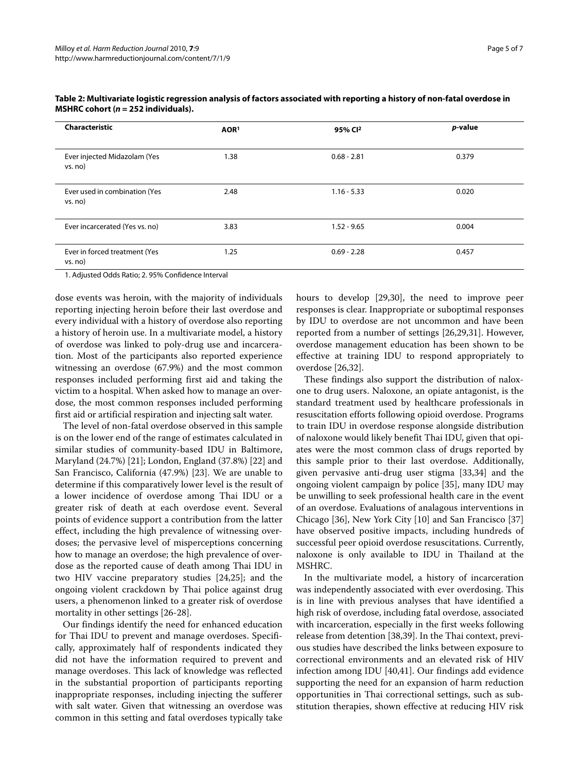| Characteristic                           | AOR <sup>1</sup> | 95% CI <sup>2</sup> | p-value |
|------------------------------------------|------------------|---------------------|---------|
| Ever injected Midazolam (Yes<br>vs. no)  | 1.38             | $0.68 - 2.81$       | 0.379   |
| Ever used in combination (Yes<br>vs. no) | 2.48             | $1.16 - 5.33$       | 0.020   |
| Ever incarcerated (Yes vs. no)           | 3.83             | $1.52 - 9.65$       | 0.004   |
| Ever in forced treatment (Yes            | 1.25             | $0.69 - 2.28$       | 0.457   |

# **Table 2: Multivariate logistic regression analysis of factors associated with reporting a history of non-fatal overdose in MSHRC cohort (n = 252 individuals).**

1. Adjusted Odds Ratio; 2. 95% Confidence Interval

vs. no)

dose events was heroin, with the majority of individuals reporting injecting heroin before their last overdose and every individual with a history of overdose also reporting a history of heroin use. In a multivariate model, a history of overdose was linked to poly-drug use and incarceration. Most of the participants also reported experience witnessing an overdose (67.9%) and the most common responses included performing first aid and taking the victim to a hospital. When asked how to manage an overdose, the most common responses included performing first aid or artificial respiration and injecting salt water.

The level of non-fatal overdose observed in this sample is on the lower end of the range of estimates calculated in similar studies of community-based IDU in Baltimore, Maryland (24.7%) [[21](#page-6-5)]; London, England (37.8%) [[22\]](#page-6-6) and San Francisco, California (47.9%) [\[23](#page-6-7)]. We are unable to determine if this comparatively lower level is the result of a lower incidence of overdose among Thai IDU or a greater risk of death at each overdose event. Several points of evidence support a contribution from the latter effect, including the high prevalence of witnessing overdoses; the pervasive level of misperceptions concerning how to manage an overdose; the high prevalence of overdose as the reported cause of death among Thai IDU in two HIV vaccine preparatory studies [\[24](#page-6-8)[,25](#page-6-9)]; and the ongoing violent crackdown by Thai police against drug users, a phenomenon linked to a greater risk of overdose mortality in other settings [\[26](#page-6-10)-[28\]](#page-6-11).

Our findings identify the need for enhanced education for Thai IDU to prevent and manage overdoses. Specifically, approximately half of respondents indicated they did not have the information required to prevent and manage overdoses. This lack of knowledge was reflected in the substantial proportion of participants reporting inappropriate responses, including injecting the sufferer with salt water. Given that witnessing an overdose was common in this setting and fatal overdoses typically take hours to develop [[29,](#page-6-12)[30\]](#page-6-13), the need to improve peer responses is clear. Inappropriate or suboptimal responses by IDU to overdose are not uncommon and have been reported from a number of settings [[26,](#page-6-10)[29,](#page-6-12)[31\]](#page-6-14). However, overdose management education has been shown to be effective at training IDU to respond appropriately to overdose [[26,](#page-6-10)[32\]](#page-6-15).

These findings also support the distribution of naloxone to drug users. Naloxone, an opiate antagonist, is the standard treatment used by healthcare professionals in resuscitation efforts following opioid overdose. Programs to train IDU in overdose response alongside distribution of naloxone would likely benefit Thai IDU, given that opiates were the most common class of drugs reported by this sample prior to their last overdose. Additionally, given pervasive anti-drug user stigma [[33](#page-6-16),[34\]](#page-6-17) and the ongoing violent campaign by police [\[35](#page-6-18)], many IDU may be unwilling to seek professional health care in the event of an overdose. Evaluations of analagous interventions in Chicago [\[36](#page-6-19)], New York City [\[10\]](#page-5-7) and San Francisco [[37](#page-6-20)] have observed positive impacts, including hundreds of successful peer opioid overdose resuscitations. Currently, naloxone is only available to IDU in Thailand at the MSHRC.

In the multivariate model, a history of incarceration was independently associated with ever overdosing. This is in line with previous analyses that have identified a high risk of overdose, including fatal overdose, associated with incarceration, especially in the first weeks following release from detention [\[38](#page-6-21)[,39\]](#page-6-22). In the Thai context, previous studies have described the links between exposure to correctional environments and an elevated risk of HIV infection among IDU [[40,](#page-6-23)[41\]](#page-6-24). Our findings add evidence supporting the need for an expansion of harm reduction opportunities in Thai correctional settings, such as substitution therapies, shown effective at reducing HIV risk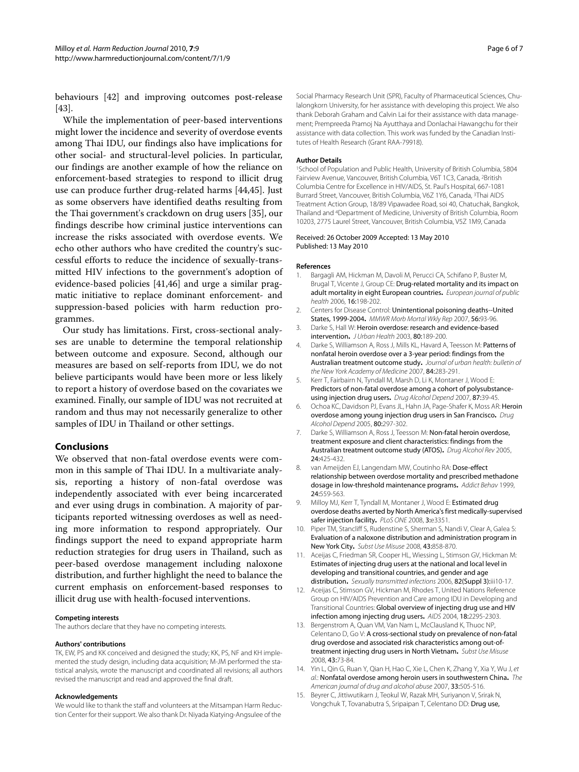behaviours [[42\]](#page-6-25) and improving outcomes post-release [[43\]](#page-6-26).

While the implementation of peer-based interventions might lower the incidence and severity of overdose events among Thai IDU, our findings also have implications for other social- and structural-level policies. In particular, our findings are another example of how the reliance on enforcement-based strategies to respond to illicit drug use can produce further drug-related harms [[44,](#page-6-27)[45\]](#page-6-28). Just as some observers have identified deaths resulting from the Thai government's crackdown on drug users [[35\]](#page-6-18), our findings describe how criminal justice interventions can increase the risks associated with overdose events. We echo other authors who have credited the country's successful efforts to reduce the incidence of sexually-transmitted HIV infections to the government's adoption of evidence-based policies [[41,](#page-6-24)[46\]](#page-6-29) and urge a similar pragmatic initiative to replace dominant enforcement- and suppression-based policies with harm reduction programmes.

Our study has limitations. First, cross-sectional analyses are unable to determine the temporal relationship between outcome and exposure. Second, although our measures are based on self-reports from IDU, we do not believe participants would have been more or less likely to report a history of overdose based on the covariates we examined. Finally, our sample of IDU was not recruited at random and thus may not necessarily generalize to other samples of IDU in Thailand or other settings.

#### **Conclusions**

We observed that non-fatal overdose events were common in this sample of Thai IDU. In a multivariate analysis, reporting a history of non-fatal overdose was independently associated with ever being incarcerated and ever using drugs in combination. A majority of participants reported witnessing overdoses as well as needing more information to respond appropriately. Our findings support the need to expand appropriate harm reduction strategies for drug users in Thailand, such as peer-based overdose management including naloxone distribution, and further highlight the need to balance the current emphasis on enforcement-based responses to illicit drug use with health-focused interventions.

#### **Competing interests**

The authors declare that they have no competing interests.

#### **Authors' contributions**

TK, EW, PS and KK conceived and designed the study; KK, PS, NF and KH implemented the study design, including data acquisition; M-JM performed the statistical analysis, wrote the manuscript and coordinated all revisions; all authors revised the manuscript and read and approved the final draft.

#### **Acknowledgements**

We would like to thank the staff and volunteers at the Mitsampan Harm Reduction Center for their support. We also thank Dr. Niyada Kiatying-Angsulee of the

Social Pharmacy Research Unit (SPR), Faculty of Pharmaceutical Sciences, Chulalongkorn University, for her assistance with developing this project. We also thank Deborah Graham and Calvin Lai for their assistance with data management; Prempreeda Pramoj Na Ayutthaya and Donlachai Hawangchu for their assistance with data collection. This work was funded by the Canadian Institutes of Health Research (Grant RAA-79918).

#### **Author Details**

1School of Population and Public Health, University of British Columbia, 5804 Fairview Avenue, Vancouver, British Columbia, V6T 1C3, Canada, 2British Columbia Centre for Excellence in HIV/AIDS, St. Paul's Hospital, 667-1081 Burrard Street, Vancouver, British Columbia, V6Z 1Y6, Canada, 3Thai AIDS Treatment Action Group, 18/89 Vipawadee Road, soi 40, Chatuchak, Bangkok, Thailand and 4Department of Medicine, University of British Columbia, Room 10203, 2775 Laurel Street, Vancouver, British Columbia, V5Z 1M9, Canada

#### Received: 26 October 2009 Accepted: 13 May 2010 Published: 13 May 2010

#### **References**

- <span id="page-5-0"></span>1. Bargagli AM, Hickman M, Davoli M, Perucci CA, Schifano P, Buster M, Brugal T, Vicente J, Group CE: Drug-related mortality and its impact on adult mortality in eight European countries**.** European journal of public health 2006, 16:198-202.
- <span id="page-5-1"></span>2. Centers for Disease Control: Unintentional poisoning deaths--United States, 1999-2004**.** MMWR Morb Mortal Wkly Rep 2007, 56:93-96.
- <span id="page-5-2"></span>3. Darke S, Hall W: Heroin overdose: research and evidence-based intervention**.** J Urban Health 2003, 80:189-200.
- 4. Darke S, Williamson A, Ross J, Mills KL, Havard A, Teesson M: Patterns of nonfatal heroin overdose over a 3-year period: findings from the Australian treatment outcome study**.** Journal of urban health: bulletin of the New York Academy of Medicine 2007, 84:283-291.
- 5. Kerr T, Fairbairn N, Tyndall M, Marsh D, Li K, Montaner J, Wood E: Predictors of non-fatal overdose among a cohort of polysubstanceusing injection drug users**[.](http://www.ncbi.nlm.nih.gov/entrez/query.fcgi?cmd=Retrieve&db=PubMed&dopt=Abstract&list_uids=16959438)** Drug Alcohol Depend 2007, 87:39-45.
- <span id="page-5-3"></span>6. Ochoa KC, Davidson PJ, Evans JL, Hahn JA, Page-Shafer K, Moss AR: Heroin overdose among young injection drug users in San Francisco**.** Drug Alcohol Depend 2005, 80:297-302.
- <span id="page-5-4"></span>7. Darke S, Williamson A, Ross J, Teesson M: Non-fatal heroin overdose, treatment exposure and client characteristics: findings from the Australian treatment outcome study (ATOS)**.** Drug Alcohol Rev 2005, 24:425-432.
- <span id="page-5-5"></span>8. van Ameijden EJ, Langendam MW, Coutinho RA: Dose-effect relationship between overdose mortality and prescribed methadone dosage in low-threshold maintenance programs**.** Addict Behav 1999, 24:559-563.
- <span id="page-5-6"></span>9. Milloy MJ, Kerr T, Tyndall M, Montaner J, Wood E: Estimated drug overdose deaths averted by North America's first medically-supervised safer injection facility**.** PLoS ONE 2008, 3:e3351.
- <span id="page-5-7"></span>10. Piper TM, Stancliff S, Rudenstine S, Sherman S, Nandi V, Clear A, Galea S: Evaluation of a naloxone distribution and administration program in New York City**.** Subst Use Misuse 2008, 43:858-870.
- <span id="page-5-8"></span>11. Aceijas C, Friedman SR, Cooper HL, Wiessing L, Stimson GV, Hickman M: Estimates of injecting drug users at the national and local level in developing and transitional countries, and gender and age distribution**.** Sexually transmitted infections 2006, 82(Suppl 3):iii10-17.
- <span id="page-5-9"></span>12. Aceijas C, Stimson GV, Hickman M, Rhodes T, United Nations Reference Group on HIV/AIDS Prevention and Care among IDU in Developing and Transitional Countries: Global overview of injecting drug use and HIV infection among injecting drug users**.** AIDS 2004, 18:2295-2303.
- <span id="page-5-10"></span>13. Bergenstrom A, Quan VM, Van Nam L, McClausland K, Thuoc NP, Celentano D, Go V: A cross-sectional study on prevalence of non-fatal drug overdose and associated risk characteristics among out-oftreatment injecting drug users in North Vietnam**.** Subst Use Misuse 2008, 43:73-84.
- <span id="page-5-11"></span>14. Yin L, Qin G, Ruan Y, Qian H, Hao C, Xie L, Chen K, Zhang Y, Xia Y, Wu J, et al.: Nonfatal overdose among heroin users in southwestern China**.** The American journal of drug and alcohol abuse 2007, 33:505-516.
- <span id="page-5-12"></span>15. Beyrer C, Jittiwutikarn J, Teokul W, Razak MH, Suriyanon V, Srirak N, Vongchuk T, Tovanabutra S, Sripaipan T, Celentano DD: Drug use,